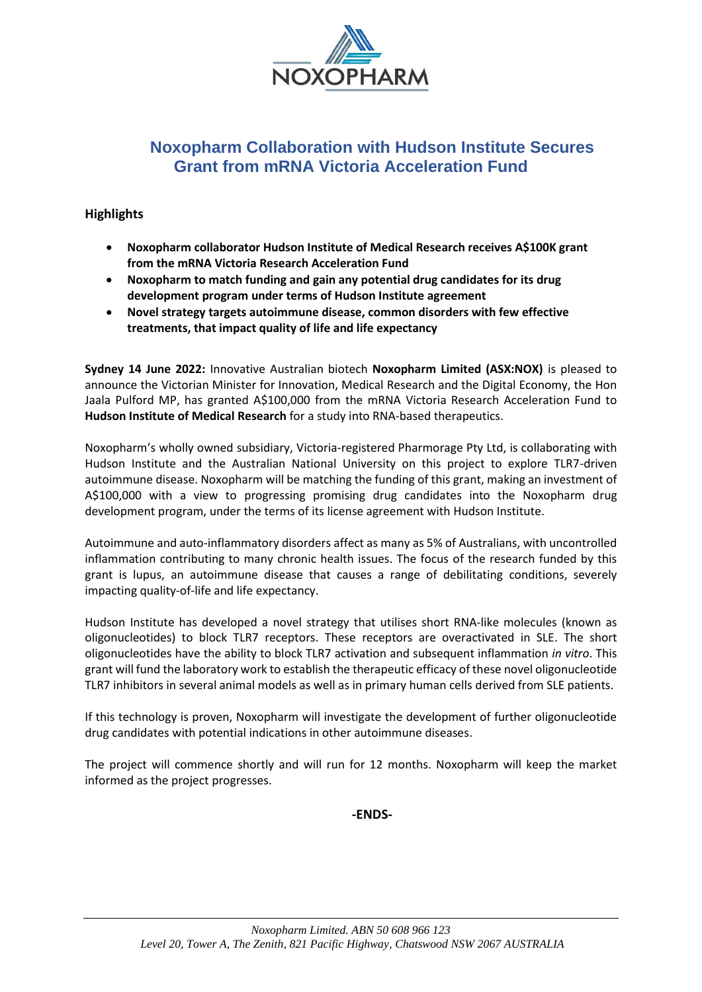

# **Noxopharm Collaboration with Hudson Institute Secures Grant from mRNA Victoria Acceleration Fund**

# **Highlights**

- **Noxopharm collaborator Hudson Institute of Medical Research receives A\$100K grant from the mRNA Victoria Research Acceleration Fund**
- **Noxopharm to match funding and gain any potential drug candidates for its drug development program under terms of Hudson Institute agreement**
- **Novel strategy targets autoimmune disease, common disorders with few effective treatments, that impact quality of life and life expectancy**

**Sydney 14 June 2022:** Innovative Australian biotech **Noxopharm Limited (ASX:NOX)** is pleased to announce the Victorian Minister for Innovation, Medical Research and the Digital Economy, the Hon Jaala Pulford MP, has granted A\$100,000 from the mRNA Victoria Research Acceleration Fund to **Hudson Institute of Medical Research** for a study into RNA-based therapeutics.

Noxopharm's wholly owned subsidiary, Victoria-registered Pharmorage Pty Ltd, is collaborating with Hudson Institute and the Australian National University on this project to explore TLR7-driven autoimmune disease. Noxopharm will be matching the funding of this grant, making an investment of A\$100,000 with a view to progressing promising drug candidates into the Noxopharm drug development program, under the terms of its license agreement with Hudson Institute.

Autoimmune and auto-inflammatory disorders affect as many as 5% of Australians, with uncontrolled inflammation contributing to many chronic health issues. The focus of the research funded by this grant is lupus, an autoimmune disease that causes a range of debilitating conditions, severely impacting quality-of-life and life expectancy.

Hudson Institute has developed a novel strategy that utilises short RNA-like molecules (known as oligonucleotides) to block TLR7 receptors. These receptors are overactivated in SLE. The short oligonucleotides have the ability to block TLR7 activation and subsequent inflammation *in vitro*. This grant will fund the laboratory work to establish the therapeutic efficacy of these novel oligonucleotide TLR7 inhibitors in several animal models as well as in primary human cells derived from SLE patients.

If this technology is proven, Noxopharm will investigate the development of further oligonucleotide drug candidates with potential indications in other autoimmune diseases.

The project will commence shortly and will run for 12 months. Noxopharm will keep the market informed as the project progresses.

**-ENDS-**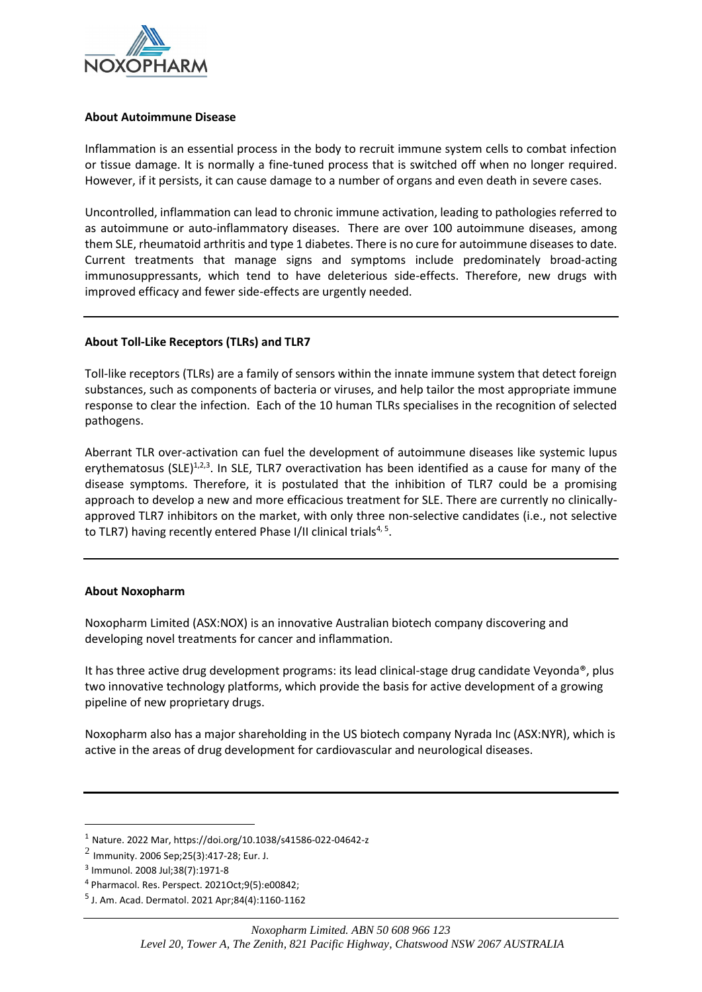

## **About Autoimmune Disease**

Inflammation is an essential process in the body to recruit immune system cells to combat infection or tissue damage. It is normally a fine-tuned process that is switched off when no longer required. However, if it persists, it can cause damage to a number of organs and even death in severe cases.

Uncontrolled, inflammation can lead to chronic immune activation, leading to pathologies referred to as autoimmune or auto-inflammatory diseases. There are over 100 autoimmune diseases, among them SLE, rheumatoid arthritis and type 1 diabetes. There is no cure for autoimmune diseases to date. Current treatments that manage signs and symptoms include predominately broad-acting immunosuppressants, which tend to have deleterious side-effects. Therefore, new drugs with improved efficacy and fewer side-effects are urgently needed.

## **About Toll-Like Receptors (TLRs) and TLR7**

Toll-like receptors (TLRs) are a family of sensors within the innate immune system that detect foreign substances, such as components of bacteria or viruses, and help tailor the most appropriate immune response to clear the infection. Each of the 10 human TLRs specialises in the recognition of selected pathogens.

Aberrant TLR over-activation can fuel the development of autoimmune diseases like systemic lupus erythematosus (SLE)<sup>1,2,3</sup>. In SLE, TLR7 overactivation has been identified as a cause for many of the disease symptoms. Therefore, it is postulated that the inhibition of TLR7 could be a promising approach to develop a new and more efficacious treatment for SLE. There are currently no clinicallyapproved TLR7 inhibitors on the market, with only three non-selective candidates (i.e., not selective to TLR7) having recently entered Phase I/II clinical trials<sup>4, 5</sup>.

#### **About Noxopharm**

Noxopharm Limited (ASX:NOX) is an innovative Australian biotech company discovering and developing novel treatments for cancer and inflammation.

It has three active drug development programs: its lead clinical-stage drug candidate Veyonda®, plus two innovative technology platforms, which provide the basis for active development of a growing pipeline of new proprietary drugs.

Noxopharm also has a major shareholding in the US biotech company Nyrada Inc (ASX:NYR), which is active in the areas of drug development for cardiovascular and neurological diseases.

<sup>1</sup> Nature. 2022 Mar, https://doi.org/10.1038/s41586-022-04642-z

 $^2$  Immunity. 2006 Sep;25(3):417-28; Eur. J.

<sup>3</sup> Immunol. 2008 Jul;38(7):1971-8

<sup>4</sup> Pharmacol. Res. Perspect. 2021Oct;9(5):e00842;

<sup>5</sup> J. Am. Acad. Dermatol. 2021 Apr;84(4):1160-1162